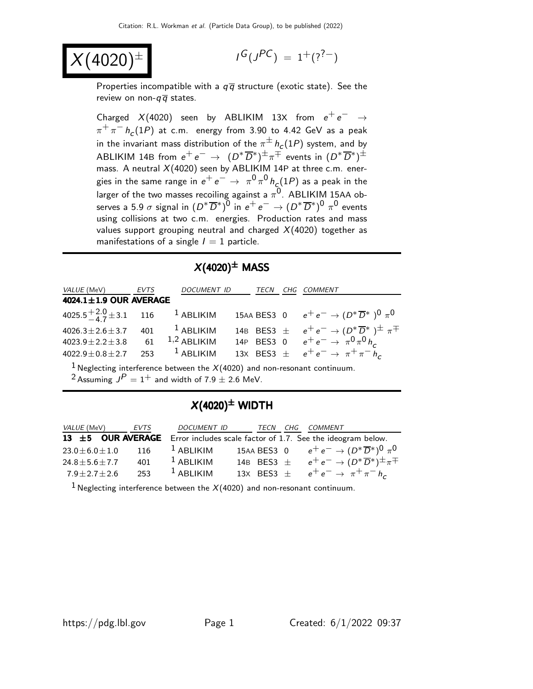$$
X(4020)^{\pm}
$$

$$
I^G(J^{PC}) = 1^+(?^{?-})
$$

Properties incompatible with a  $q\overline{q}$  structure (exotic state). See the review on non- $q\overline{q}$  states.

Charged  $X(4020)$  seen by ABLIKIM 13X from  $e^+e^- \rightarrow$  $\pi^+\,\pi^ h_c(1P)$  at c.m. energy from 3.90 to 4.42 GeV as a peak in the invariant mass distribution of the  $\pi^{\pm}\,h_{\textsf{c}}(1P)$  system, and by ABLIKIM 14B from  $e^+ \, e^- \, \rightarrow \, \, (D^* \overline{D}{}^*)^{\pm} \pi^{\mp}$  events in  $(D^* \overline{D}{}^*)^{\pm}$ mass. A neutral  $X(4020)$  seen by ABLIKIM 14P at three c.m. energies in the same range in  $e^+ \, e^- \, \rightarrow \, \, \pi^0 \, \pi^0 \, h_c(1P)$  as a peak in the larger of the two masses recoiling against a  $\pi^0$ . ABLIKIM 15AA observes a 5.9  $\sigma$  signal in  $(D^*\overline{D}{}^*)^0$  in  $e^+ \, e^- \rightarrow (D^*\overline{D}{}^*)^0 \, \, \pi^0$  events using collisions at two c.m. energies. Production rates and mass values support grouping neutral and charged  $X(4020)$  together as manifestations of a single  $I = 1$  particle.

#### $X(4020)^{\pm}$  MASS

| VALUE (MeV) EVTS                                  | DOCUMENT ID TECN CHG COMMENT |  |                                                                                                                          |
|---------------------------------------------------|------------------------------|--|--------------------------------------------------------------------------------------------------------------------------|
| 4024.1 $\pm$ 1.9 OUR AVERAGE                      |                              |  |                                                                                                                          |
|                                                   |                              |  | 4025.5 $\frac{+2.0}{-4.7}$ ± 3.1 116 <sup>1</sup> ABLIKIM 15AA BES3 0 $e^+e^- \rightarrow (D^*\overline{D}{}^*)^0 \pi^0$ |
| $4026.3 \pm 2.6 \pm 3.7$ 401 <sup>1</sup> ABLIKIM |                              |  | 14B BES3 $\pm$ $e^+e^- \rightarrow (D^*\overline{D}{}^*)^{\pm} \pi^{\mp}$                                                |
| 4023.9 ± 2.2 ± 3.8 61 $1,2$ ABLIKIM               |                              |  | 14P BES3 0 $e^+e^- \rightarrow \pi^0 \pi^0 h_c$                                                                          |
| $4022.9 \pm 0.8 \pm 2.7$                          | 253 $1$ ABLIKIM              |  | 13X BES3 $\pm$ $e^+e^- \rightarrow \pi^+\pi^-h_c$                                                                        |
|                                                   |                              |  |                                                                                                                          |

<sup>1</sup> Neglecting interference between the  $X(4020)$  and non-resonant continuum.  $2$  Assuming  $J^P = 1^+$  and width of 7.9  $\pm$  2.6 MeV.

#### $X(4020)^{\pm}$  WIDTH

| <i>VALUE</i> (MeV)                              | EVTS | DOCUMENT ID     |  | TECN CHG COMMENT                                                                   |
|-------------------------------------------------|------|-----------------|--|------------------------------------------------------------------------------------|
|                                                 |      |                 |  | 13 $\pm$ 5 OUR AVERAGE Error includes scale factor of 1.7. See the ideogram below. |
| $23.0 \pm 6.0 \pm 1.0$ 116 <sup>1</sup> ABLIKIM |      |                 |  | 15AA BES3 0 $e^+e^- \to (D^*\overline{D}{}^*)^0 \pi^0$                             |
| $24.8 \pm 5.6 \pm 7.7$                          | 401  | $^{-1}$ ABLIKIM |  | 14B BES3 $\pm$ $e^+e^- \rightarrow (D^*\overline{D}^*)^{\pm}\pi^{\mp}$             |
| $7.9 \pm 2.7 \pm 2.6$                           | 253  | $^1$ ABLIKIM    |  | 13X BES3 $\pm$ $e^+e^- \rightarrow \pi^+\pi^-h_c$                                  |

<sup>1</sup> Neglecting interference between the  $X(4020)$  and non-resonant continuum.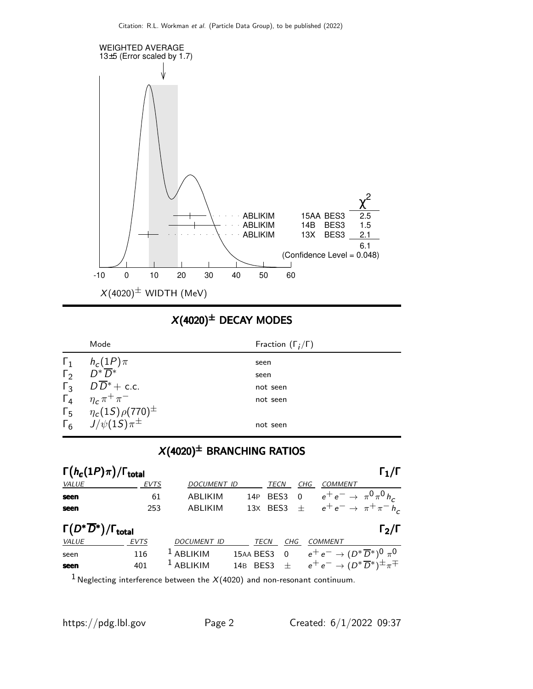

### $X(4020)^{\pm}$  DECAY MODES

|            | Mode                                                                                                   | Fraction $(\Gamma_i/\Gamma)$ |
|------------|--------------------------------------------------------------------------------------------------------|------------------------------|
| $\Gamma_1$ | $h_c(1P)\pi$                                                                                           | seen                         |
|            | $\Gamma_2$ $D^* \overline{D}{}^*$                                                                      | seen                         |
|            | $\Gamma_3$ $D\overline{D}^*$ + c.c.                                                                    | not seen                     |
|            | $\Gamma_4$ $\eta_c \pi^+ \pi^-$                                                                        | not seen                     |
|            | $\begin{array}{cc} \Gamma_5 & \eta_c(1S)\rho(770)^{\pm} \\ \Gamma_6 & J/\psi(1S)\pi^{\pm} \end{array}$ |                              |
|            |                                                                                                        | not seen                     |

## $X(4020)^{\pm}$  BRANCHING RATIOS

| $\Gamma(h_c(1P)\pi)/\Gamma_{\rm total}$             |                    |                 |                    |                                                   |                              | $\Gamma_1/\Gamma$                                                                                                                                                          |
|-----------------------------------------------------|--------------------|-----------------|--------------------|---------------------------------------------------|------------------------------|----------------------------------------------------------------------------------------------------------------------------------------------------------------------------|
| <b>EVTS</b>                                         |                    |                 | TECN               | CHG                                               | <b>COMMENT</b>               |                                                                                                                                                                            |
| 61                                                  | ABLIKIM            | 14P             | BES3               | - 0                                               | $e^+e^- \to \pi^0 \pi^0 h_c$ |                                                                                                                                                                            |
| 253                                                 | ABLIKIM            |                 |                    |                                                   |                              |                                                                                                                                                                            |
| $\Gamma(D^*\overline{D}{}^*)/\Gamma_{\text{total}}$ |                    |                 |                    |                                                   |                              | $\Gamma_2/\Gamma$                                                                                                                                                          |
| <b>EVTS</b>                                         | <b>DOCUMENT ID</b> |                 |                    |                                                   |                              |                                                                                                                                                                            |
| 116                                                 | ABLIKIM            |                 | $\Omega$           |                                                   |                              |                                                                                                                                                                            |
| 401                                                 | $1$ ABLIKIM        | 14 <sub>B</sub> |                    |                                                   |                              |                                                                                                                                                                            |
|                                                     |                    |                 | <b>DOCUMENT ID</b> | 13X BES3<br>TECN<br>15AA BES3<br>BES <sub>3</sub> | CHG                          | $\pm$ $e^+e^- \rightarrow \pi^+\pi^-h_c$<br>COMMENT<br>$e^+e^- \rightarrow (D^*\overline{D}{}^*)^0 \pi^0$<br>$\pm$ $e^+e^- \rightarrow (D^*\overline{D}^*)^{\pm}\pi^{\mp}$ |

<sup>1</sup> Neglecting interference between the  $X(4020)$  and non-resonant continuum.